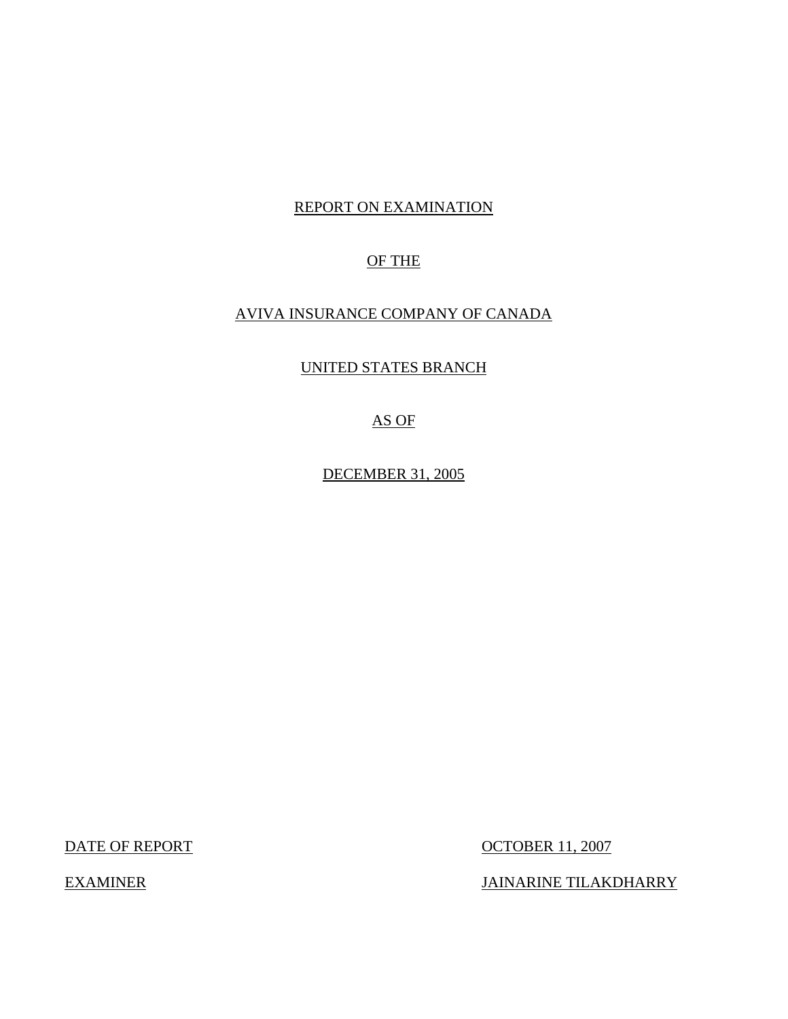# REPORT ON EXAMINATION

# OF THE

# AVIVA INSURANCE COMPANY OF CANADA

## UNITED STATES BRANCH

# AS OF

DECEMBER 31, 2005

DATE OF REPORT OCTOBER 11, 2007

EXAMINER JAINARINE TILAKDHARRY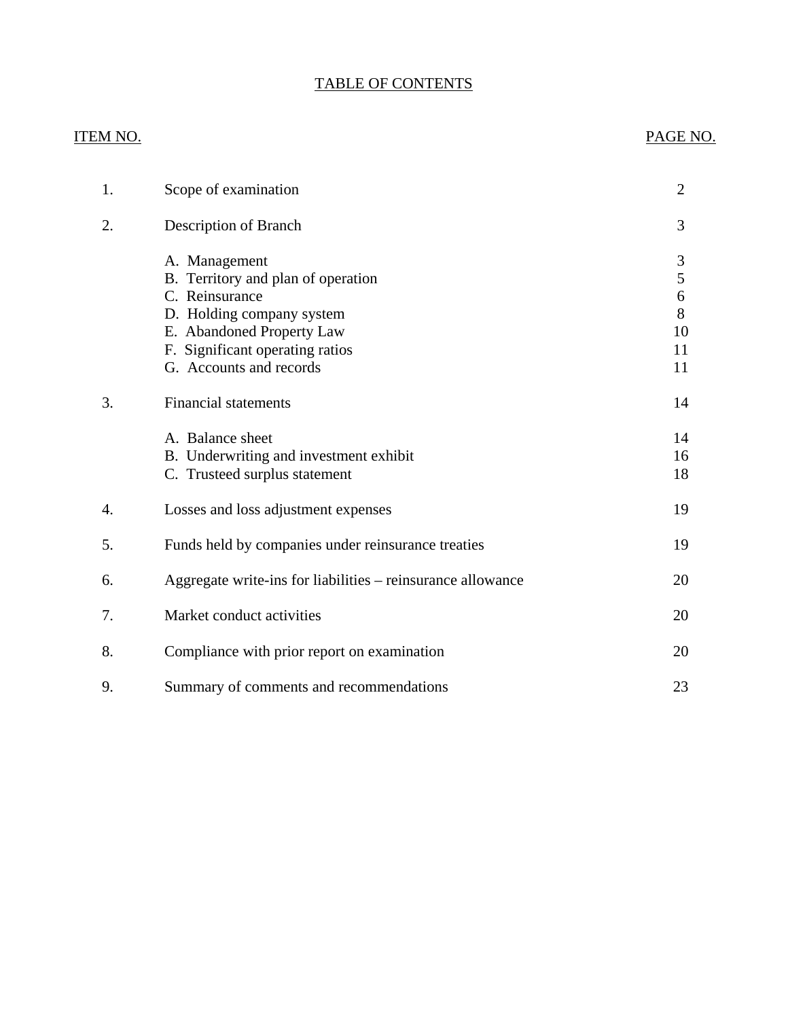# TABLE OF CONTENTS

# **ITEM NO.**

# PAGE NO.

| 1. | Scope of examination                                                                                                                                                                          | $\overline{2}$                     |
|----|-----------------------------------------------------------------------------------------------------------------------------------------------------------------------------------------------|------------------------------------|
| 2. | Description of Branch                                                                                                                                                                         | 3                                  |
|    | A. Management<br>B. Territory and plan of operation<br>C. Reinsurance<br>D. Holding company system<br>E. Abandoned Property Law<br>F. Significant operating ratios<br>G. Accounts and records | 3<br>5<br>6<br>8<br>10<br>11<br>11 |
| 3. | <b>Financial statements</b>                                                                                                                                                                   | 14                                 |
|    | A. Balance sheet<br>B. Underwriting and investment exhibit<br>C. Trusteed surplus statement                                                                                                   | 14<br>16<br>18                     |
| 4. | Losses and loss adjustment expenses                                                                                                                                                           | 19                                 |
| 5. | Funds held by companies under reinsurance treaties                                                                                                                                            | 19                                 |
| 6. | Aggregate write-ins for liabilities - reinsurance allowance                                                                                                                                   | 20                                 |
| 7. | Market conduct activities                                                                                                                                                                     | 20                                 |
| 8. | Compliance with prior report on examination                                                                                                                                                   | 20                                 |
| 9. | Summary of comments and recommendations                                                                                                                                                       | 23                                 |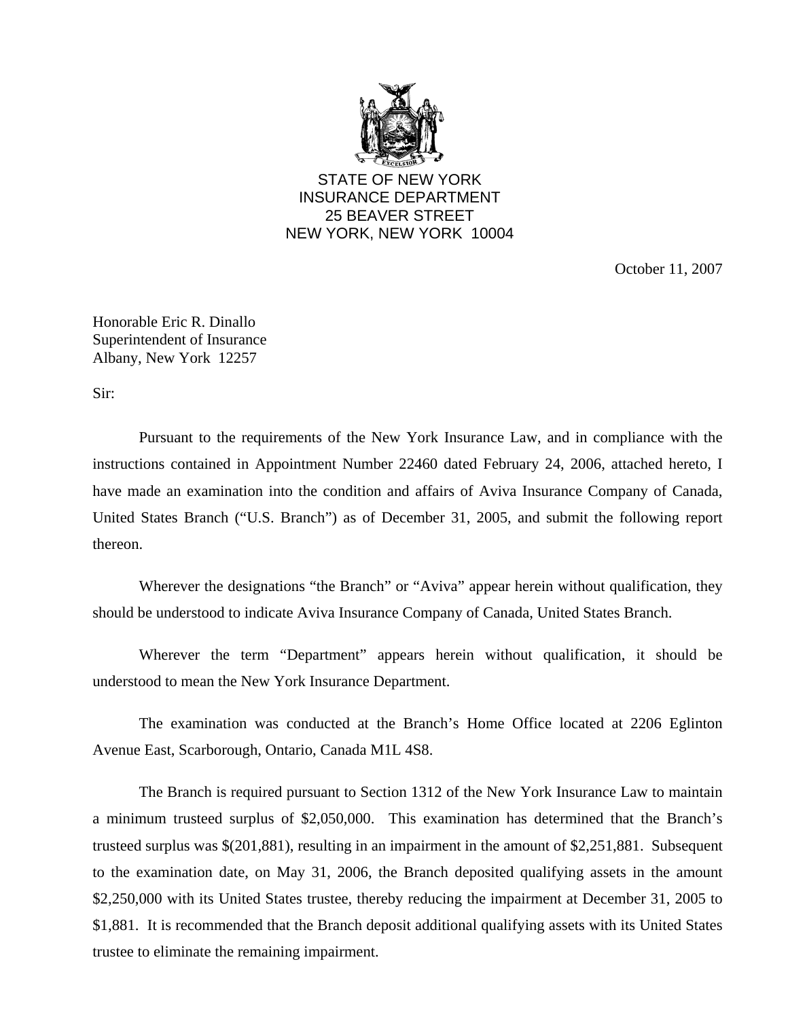

STATE OF NEW YORK INSURANCE DEPARTMENT 25 BEAVER STREET NEW YORK, NEW YORK 10004

October 11, 2007

Honorable Eric R. Dinallo Superintendent of Insurance Albany, New York 12257

Sir:

Pursuant to the requirements of the New York Insurance Law, and in compliance with the instructions contained in Appointment Number 22460 dated February 24, 2006, attached hereto, I have made an examination into the condition and affairs of Aviva Insurance Company of Canada, United States Branch ("U.S. Branch") as of December 31, 2005, and submit the following report thereon.

Wherever the designations "the Branch" or "Aviva" appear herein without qualification, they should be understood to indicate Aviva Insurance Company of Canada, United States Branch.

Wherever the term "Department" appears herein without qualification, it should be understood to mean the New York Insurance Department.

The examination was conducted at the Branch's Home Office located at 2206 Eglinton Avenue East, Scarborough, Ontario, Canada M1L 4S8.

The Branch is required pursuant to Section 1312 of the New York Insurance Law to maintain a minimum trusteed surplus of \$2,050,000. This examination has determined that the Branch's trusteed surplus was \$(201,881), resulting in an impairment in the amount of \$2,251,881. Subsequent to the examination date, on May 31, 2006, the Branch deposited qualifying assets in the amount \$2,250,000 with its United States trustee, thereby reducing the impairment at December 31, 2005 to \$1,881. It is recommended that the Branch deposit additional qualifying assets with its United States trustee to eliminate the remaining impairment.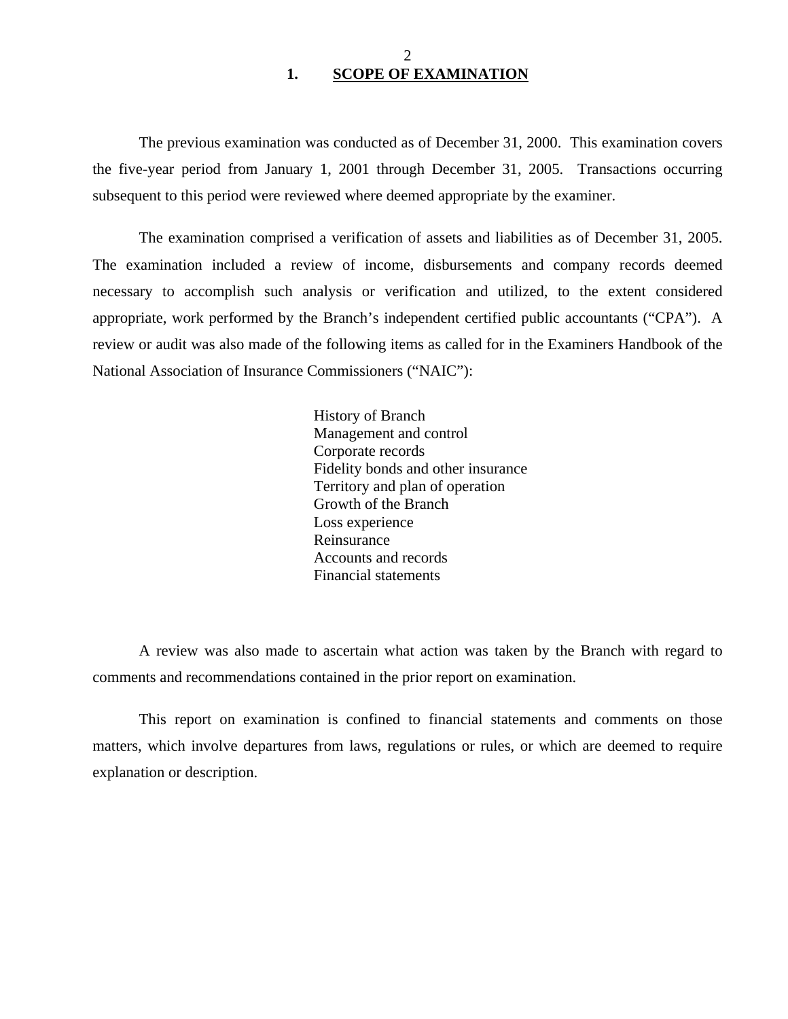### 2 **1. SCOPE OF EXAMINATION**

<span id="page-3-0"></span>The previous examination was conducted as of December 31, 2000. This examination covers the five-year period from January 1, 2001 through December 31, 2005. Transactions occurring subsequent to this period were reviewed where deemed appropriate by the examiner.

The examination comprised a verification of assets and liabilities as of December 31, 2005. The examination included a review of income, disbursements and company records deemed necessary to accomplish such analysis or verification and utilized, to the extent considered appropriate, work performed by the Branch's independent certified public accountants ("CPA"). A review or audit was also made of the following items as called for in the Examiners Handbook of the National Association of Insurance Commissioners ("NAIC"):

> History of Branch Management and control Corporate records Fidelity bonds and other insurance Territory and plan of operation Growth of the Branch Loss experience Reinsurance Accounts and records Financial statements

A review was also made to ascertain what action was taken by the Branch with regard to comments and recommendations contained in the prior report on examination.

This report on examination is confined to financial statements and comments on those matters, which involve departures from laws, regulations or rules, or which are deemed to require explanation or description.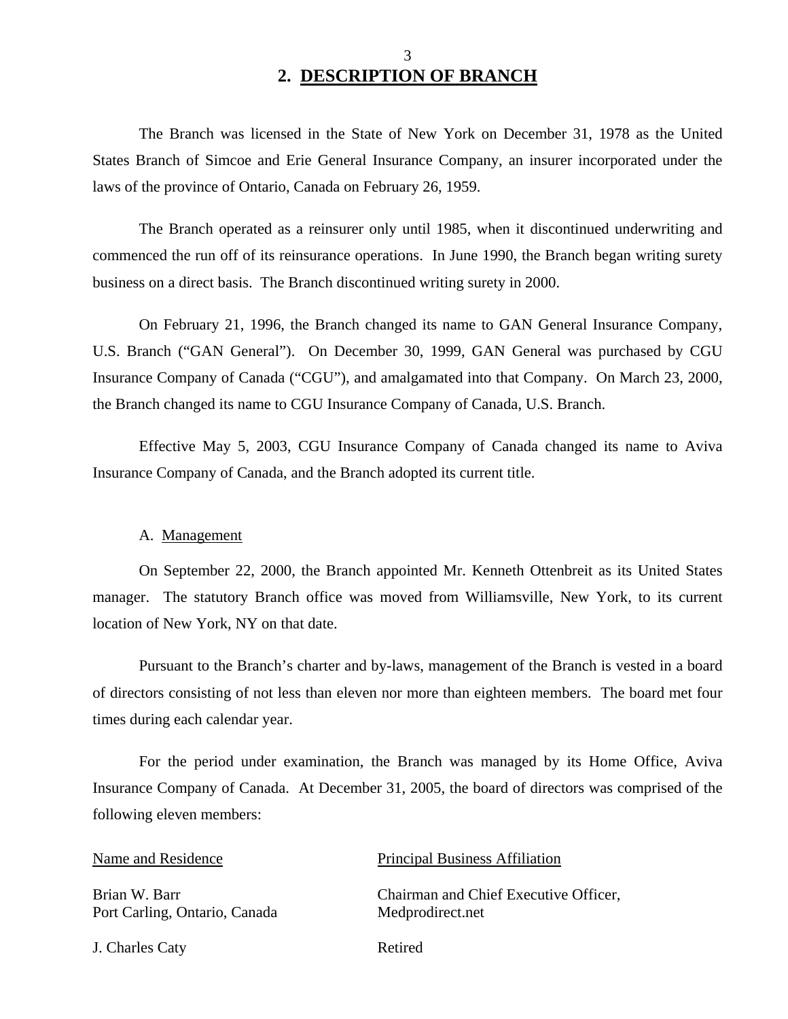# 3 **2. DESCRIPTION OF BRANCH**

The Branch was licensed in the State of New York on December 31, 1978 as the United States Branch of Simcoe and Erie General Insurance Company, an insurer incorporated under the laws of the province of Ontario, Canada on February 26, 1959.

The Branch operated as a reinsurer only until 1985, when it discontinued underwriting and commenced the run off of its reinsurance operations. In June 1990, the Branch began writing surety business on a direct basis. The Branch discontinued writing surety in 2000.

On February 21, 1996, the Branch changed its name to GAN General Insurance Company, U.S. Branch ("GAN General"). On December 30, 1999, GAN General was purchased by CGU Insurance Company of Canada ("CGU"), and amalgamated into that Company. On March 23, 2000, the Branch changed its name to CGU Insurance Company of Canada, U.S. Branch.

Effective May 5, 2003, CGU Insurance Company of Canada changed its name to Aviva Insurance Company of Canada, and the Branch adopted its current title.

#### A. Management

On September 22, 2000, the Branch appointed Mr. Kenneth Ottenbreit as its United States manager. The statutory Branch office was moved from Williamsville, New York, to its current location of New York, NY on that date.

Pursuant to the Branch's charter and by-laws, management of the Branch is vested in a board of directors consisting of not less than eleven nor more than eighteen members. The board met four times during each calendar year.

For the period under examination, the Branch was managed by its Home Office, Aviva Insurance Company of Canada. At December 31, 2005, the board of directors was comprised of the following eleven members:

Brian W. Barr Port Carling, Ontario, Canada

J. Charles Caty Retired

#### Name and Residence Principal Business Affiliation

Chairman and Chief Executive Officer, Medprodirect.net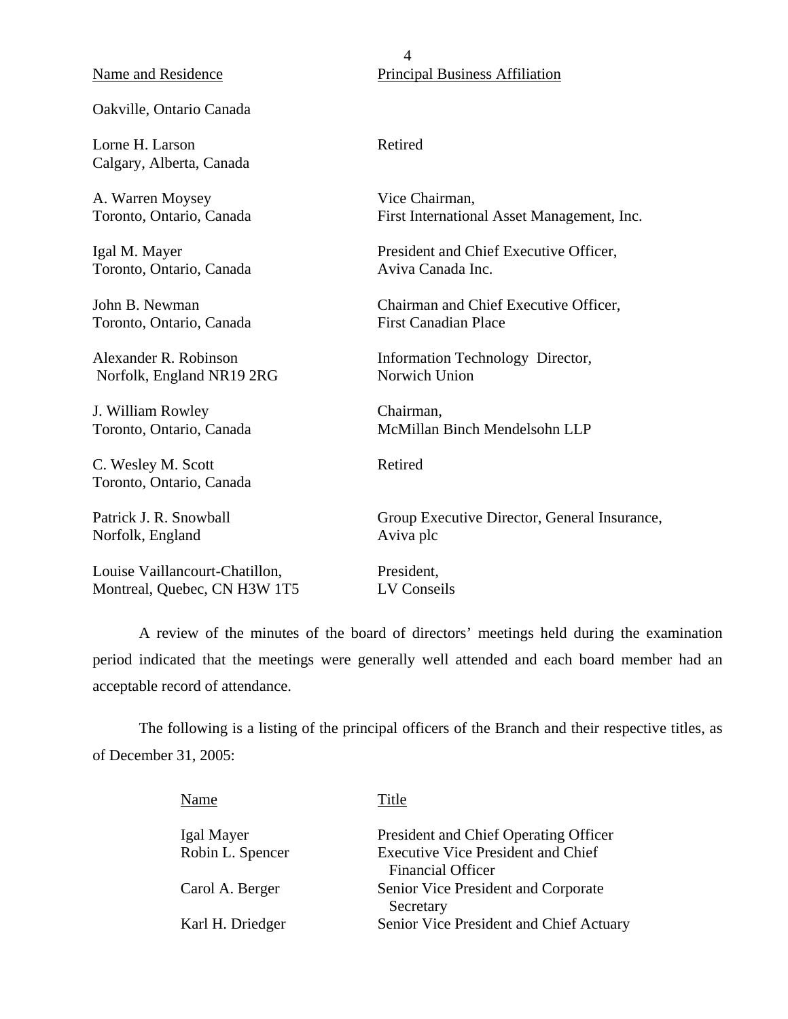#### Name and Residence

#### Oakville, Ontario Canada

Lorne H. Larson Calgary, Alberta, Canada

A. Warren Moysey Toronto, Ontario, Canada

Igal M. Mayer Toronto, Ontario, Canada

John B. Newman Toronto, Ontario, Canada

Alexander R. Robinson Norfolk, England NR19 2RG

J. William Rowley Toronto, Ontario, Canada

C. Wesley M. Scott Toronto, Ontario, Canada

Patrick J. R. Snowball Norfolk, England

Louise Vaillancourt-Chatillon, Montreal, Quebec, CN H3W 1T5

4 Principal Business Affiliation

#### Retired

Vice Chairman, First International Asset Management, Inc.

President and Chief Executive Officer, Aviva Canada Inc.

Chairman and Chief Executive Officer, First Canadian Place

Information Technology Director, Norwich Union

Chairman, McMillan Binch Mendelsohn LLP

Retired

Group Executive Director, General Insurance, Aviva plc

President, LV Conseils

A review of the minutes of the board of directors' meetings held during the examination period indicated that the meetings were generally well attended and each board member had an acceptable record of attendance.

The following is a listing of the principal officers of the Branch and their respective titles, as of December 31, 2005:

| Name             | Title                                                                 |
|------------------|-----------------------------------------------------------------------|
| Igal Mayer       | President and Chief Operating Officer                                 |
| Robin L. Spencer | <b>Executive Vice President and Chief</b><br><b>Financial Officer</b> |
| Carol A. Berger  | Senior Vice President and Corporate<br>Secretary                      |
| Karl H. Driedger | Senior Vice President and Chief Actuary                               |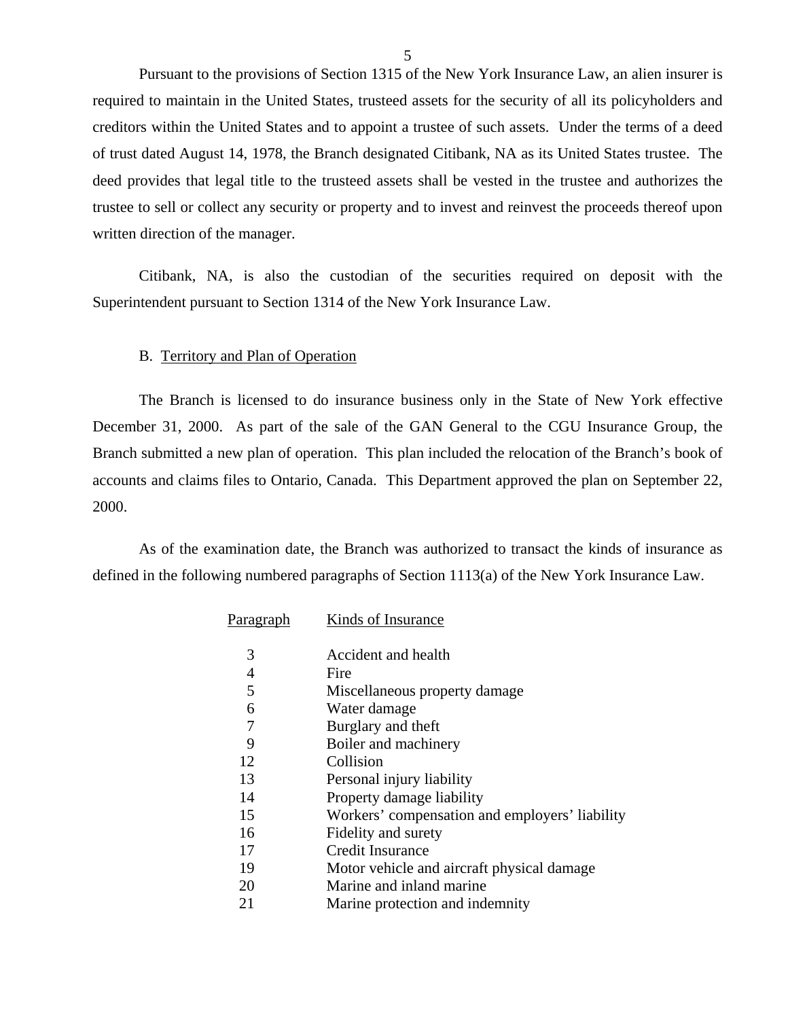Pursuant to the provisions of Section 1315 of the New York Insurance Law, an alien insurer is required to maintain in the United States, trusteed assets for the security of all its policyholders and creditors within the United States and to appoint a trustee of such assets. Under the terms of a deed of trust dated August 14, 1978, the Branch designated Citibank, NA as its United States trustee. The deed provides that legal title to the trusteed assets shall be vested in the trustee and authorizes the trustee to sell or collect any security or property and to invest and reinvest the proceeds thereof upon written direction of the manager.

Citibank, NA, is also the custodian of the securities required on deposit with the Superintendent pursuant to Section 1314 of the New York Insurance Law.

#### B. Territory and Plan of Operation

The Branch is licensed to do insurance business only in the State of New York effective December 31, 2000. As part of the sale of the GAN General to the CGU Insurance Group, the Branch submitted a new plan of operation. This plan included the relocation of the Branch's book of accounts and claims files to Ontario, Canada. This Department approved the plan on September 22, 2000.

As of the examination date, the Branch was authorized to transact the kinds of insurance as defined in the following numbered paragraphs of Section 1113(a) of the New York Insurance Law.

| P <u>aragraph</u> | Kinds of Insurance                             |
|-------------------|------------------------------------------------|
| 3                 | Accident and health                            |
| 4                 | Fire                                           |
| 5                 | Miscellaneous property damage                  |
| 6                 | Water damage                                   |
| 7                 | Burglary and theft                             |
| 9                 | Boiler and machinery                           |
| 12                | Collision                                      |
| 13                | Personal injury liability                      |
| 14                | Property damage liability                      |
| 15                | Workers' compensation and employers' liability |
| 16                | Fidelity and surety                            |
| 17                | <b>Credit Insurance</b>                        |
| 19                | Motor vehicle and aircraft physical damage     |
| 20                | Marine and inland marine                       |
| 21                | Marine protection and indemnity                |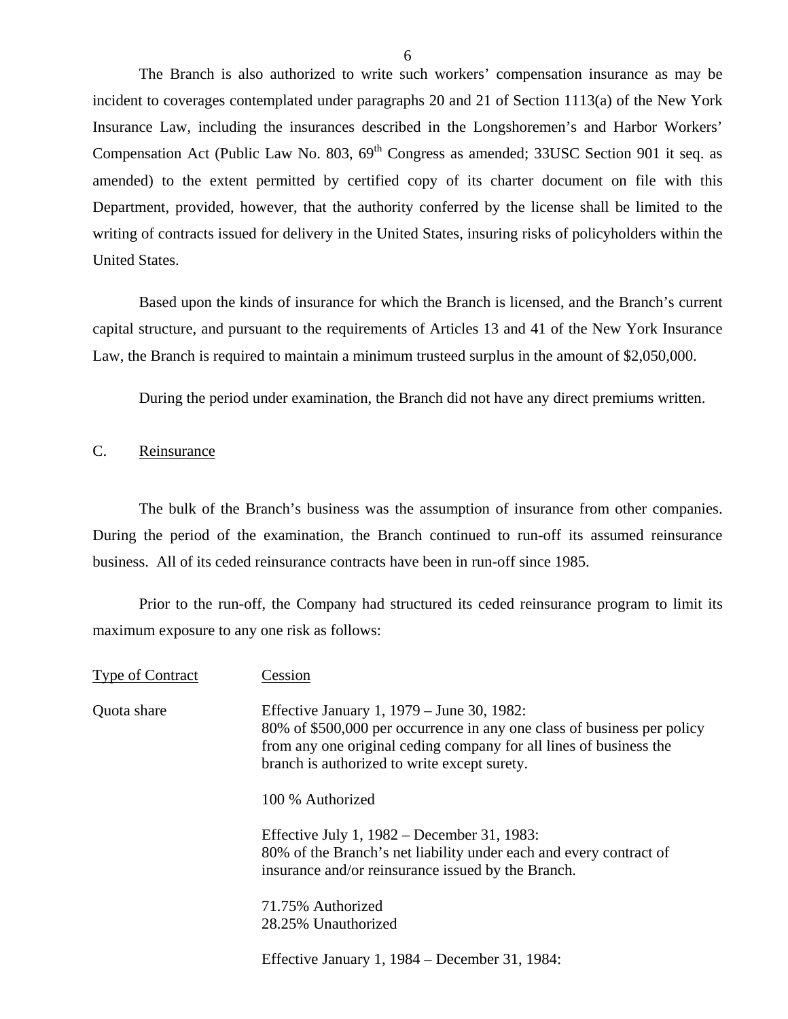<span id="page-7-0"></span>The Branch is also authorized to write such workers' compensation insurance as may be incident to coverages contemplated under paragraphs 20 and 21 of Section 1113(a) of the New York Insurance Law, including the insurances described in the Longshoremen's and Harbor Workers' Compensation Act (Public Law No. 803, 69<sup>th</sup> Congress as amended; 33USC Section 901 it seq. as amended) to the extent permitted by certified copy of its charter document on file with this Department, provided, however, that the authority conferred by the license shall be limited to the writing of contracts issued for delivery in the United States, insuring risks of policyholders within the United States.

Based upon the kinds of insurance for which the Branch is licensed, and the Branch's current capital structure, and pursuant to the requirements of Articles 13 and 41 of the New York Insurance Law, the Branch is required to maintain a minimum trusteed surplus in the amount of \$2,050,000.

During the period under examination, the Branch did not have any direct premiums written.

#### C. Reinsurance

The bulk of the Branch's business was the assumption of insurance from other companies. During the period of the examination, the Branch continued to run-off its assumed reinsurance business. All of its ceded reinsurance contracts have been in run-off since 1985.

Prior to the run-off, the Company had structured its ceded reinsurance program to limit its maximum exposure to any one risk as follows:

| <b>Type of Contract</b> | Cession                                                                                                                                                                                                                                     |
|-------------------------|---------------------------------------------------------------------------------------------------------------------------------------------------------------------------------------------------------------------------------------------|
| Quota share             | Effective January 1, 1979 – June 30, 1982:<br>80% of \$500,000 per occurrence in any one class of business per policy<br>from any one original ceding company for all lines of business the<br>branch is authorized to write except surety. |
|                         | 100 % Authorized                                                                                                                                                                                                                            |
|                         | Effective July 1, $1982 -$ December 31, 1983:<br>80% of the Branch's net liability under each and every contract of<br>insurance and/or reinsurance issued by the Branch.                                                                   |
|                         | 71.75% Authorized<br>28.25% Unauthorized                                                                                                                                                                                                    |
|                         | Effective January 1, 1984 – December 31, 1984:                                                                                                                                                                                              |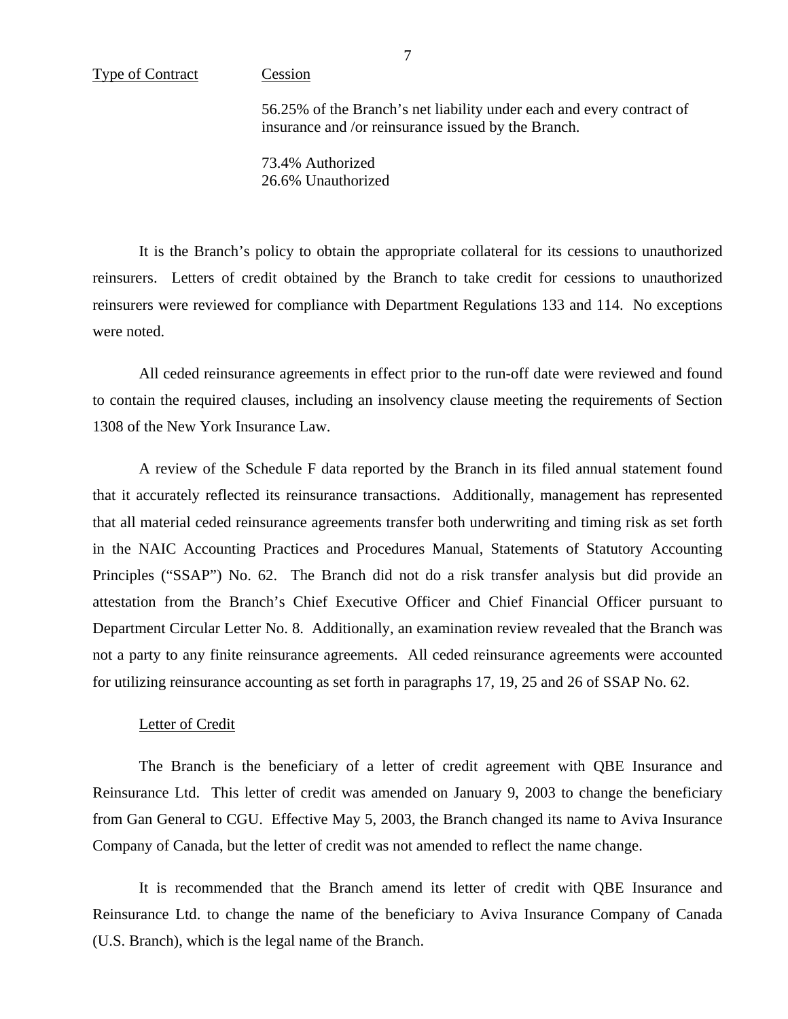56.25% of the Branch's net liability under each and every contract of insurance and /or reinsurance issued by the Branch.

73.4% Authorized 26.6% Unauthorized

It is the Branch's policy to obtain the appropriate collateral for its cessions to unauthorized reinsurers. Letters of credit obtained by the Branch to take credit for cessions to unauthorized reinsurers were reviewed for compliance with Department Regulations 133 and 114. No exceptions were noted.

All ceded reinsurance agreements in effect prior to the run-off date were reviewed and found to contain the required clauses, including an insolvency clause meeting the requirements of Section 1308 of the New York Insurance Law.

A review of the Schedule F data reported by the Branch in its filed annual statement found that it accurately reflected its reinsurance transactions. Additionally, management has represented that all material ceded reinsurance agreements transfer both underwriting and timing risk as set forth in the NAIC Accounting Practices and Procedures Manual, Statements of Statutory Accounting Principles ("SSAP") No. 62. The Branch did not do a risk transfer analysis but did provide an attestation from the Branch's Chief Executive Officer and Chief Financial Officer pursuant to Department Circular Letter No. 8. Additionally, an examination review revealed that the Branch was not a party to any finite reinsurance agreements. All ceded reinsurance agreements were accounted for utilizing reinsurance accounting as set forth in paragraphs 17, 19, 25 and 26 of SSAP No. 62.

#### Letter of Credit

The Branch is the beneficiary of a letter of credit agreement with QBE Insurance and Reinsurance Ltd. This letter of credit was amended on January 9, 2003 to change the beneficiary from Gan General to CGU. Effective May 5, 2003, the Branch changed its name to Aviva Insurance Company of Canada, but the letter of credit was not amended to reflect the name change.

It is recommended that the Branch amend its letter of credit with QBE Insurance and Reinsurance Ltd. to change the name of the beneficiary to Aviva Insurance Company of Canada (U.S. Branch), which is the legal name of the Branch.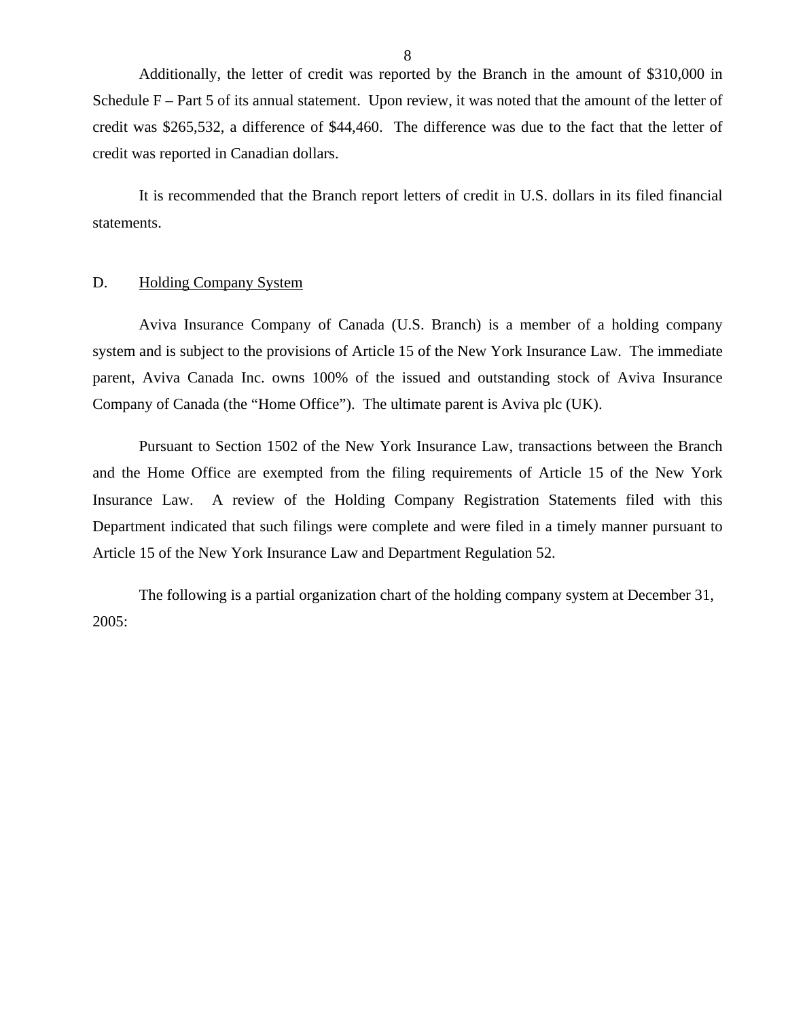<span id="page-9-0"></span> Additionally, the letter of credit was reported by the Branch in the amount of \$310,000 in Schedule F – Part 5 of its annual statement. Upon review, it was noted that the amount of the letter of credit was \$265,532, a difference of \$44,460. The difference was due to the fact that the letter of credit was reported in Canadian dollars.

It is recommended that the Branch report letters of credit in U.S. dollars in its filed financial statements.

#### D. Holding Company System

Aviva Insurance Company of Canada (U.S. Branch) is a member of a holding company system and is subject to the provisions of Article 15 of the New York Insurance Law. The immediate parent, Aviva Canada Inc. owns 100% of the issued and outstanding stock of Aviva Insurance Company of Canada (the "Home Office"). The ultimate parent is Aviva plc (UK).

Pursuant to Section 1502 of the New York Insurance Law, transactions between the Branch and the Home Office are exempted from the filing requirements of Article 15 of the New York Insurance Law. A review of the Holding Company Registration Statements filed with this Department indicated that such filings were complete and were filed in a timely manner pursuant to Article 15 of the New York Insurance Law and Department Regulation 52.

The following is a partial organization chart of the holding company system at December 31, 2005: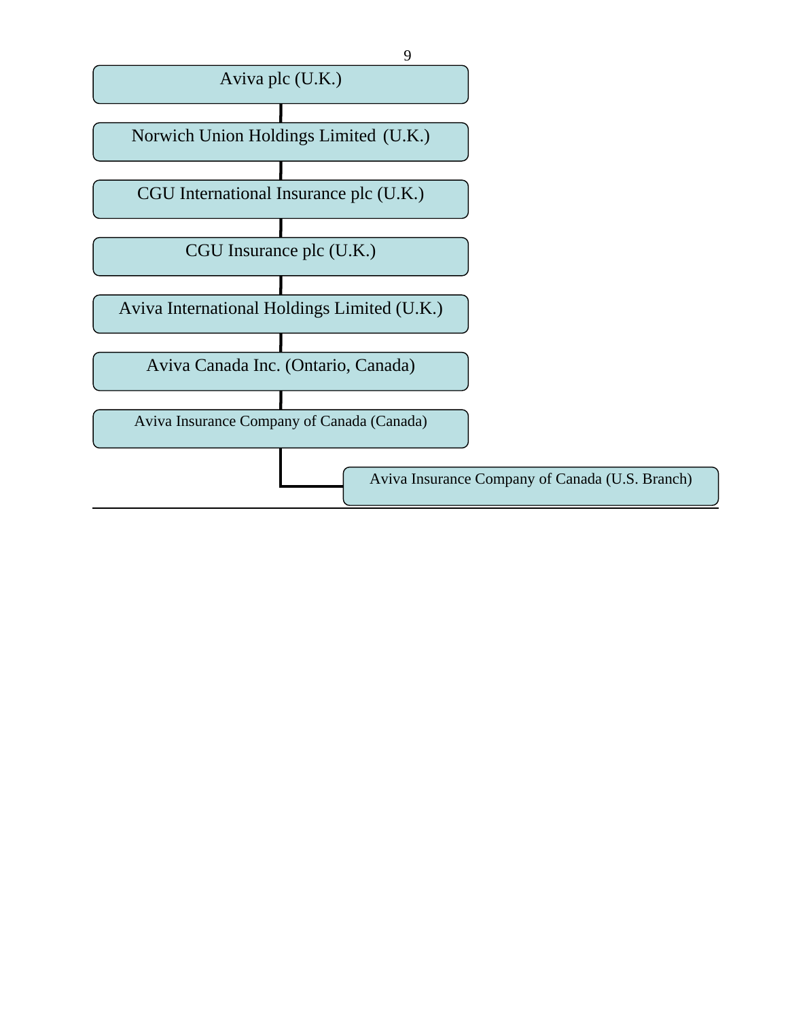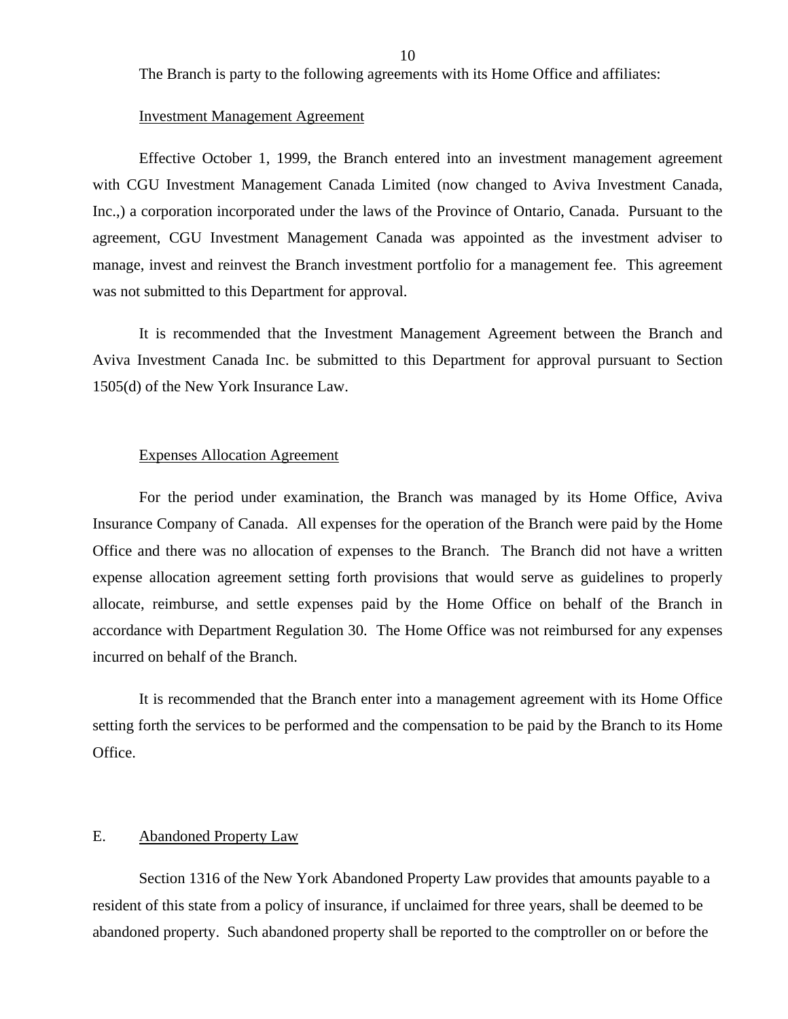<span id="page-11-0"></span>The Branch is party to the following agreements with its Home Office and affiliates:

#### Investment Management Agreement

Effective October 1, 1999, the Branch entered into an investment management agreement with CGU Investment Management Canada Limited (now changed to Aviva Investment Canada, Inc.,) a corporation incorporated under the laws of the Province of Ontario, Canada. Pursuant to the agreement, CGU Investment Management Canada was appointed as the investment adviser to manage, invest and reinvest the Branch investment portfolio for a management fee. This agreement was not submitted to this Department for approval.

It is recommended that the Investment Management Agreement between the Branch and Aviva Investment Canada Inc. be submitted to this Department for approval pursuant to Section 1505(d) of the New York Insurance Law.

#### Expenses Allocation Agreement

For the period under examination, the Branch was managed by its Home Office, Aviva Insurance Company of Canada. All expenses for the operation of the Branch were paid by the Home Office and there was no allocation of expenses to the Branch. The Branch did not have a written expense allocation agreement setting forth provisions that would serve as guidelines to properly allocate, reimburse, and settle expenses paid by the Home Office on behalf of the Branch in accordance with Department Regulation 30. The Home Office was not reimbursed for any expenses incurred on behalf of the Branch.

It is recommended that the Branch enter into a management agreement with its Home Office setting forth the services to be performed and the compensation to be paid by the Branch to its Home Office.

#### E. Abandoned Property Law

Section 1316 of the New York Abandoned Property Law provides that amounts payable to a resident of this state from a policy of insurance, if unclaimed for three years, shall be deemed to be abandoned property. Such abandoned property shall be reported to the comptroller on or before the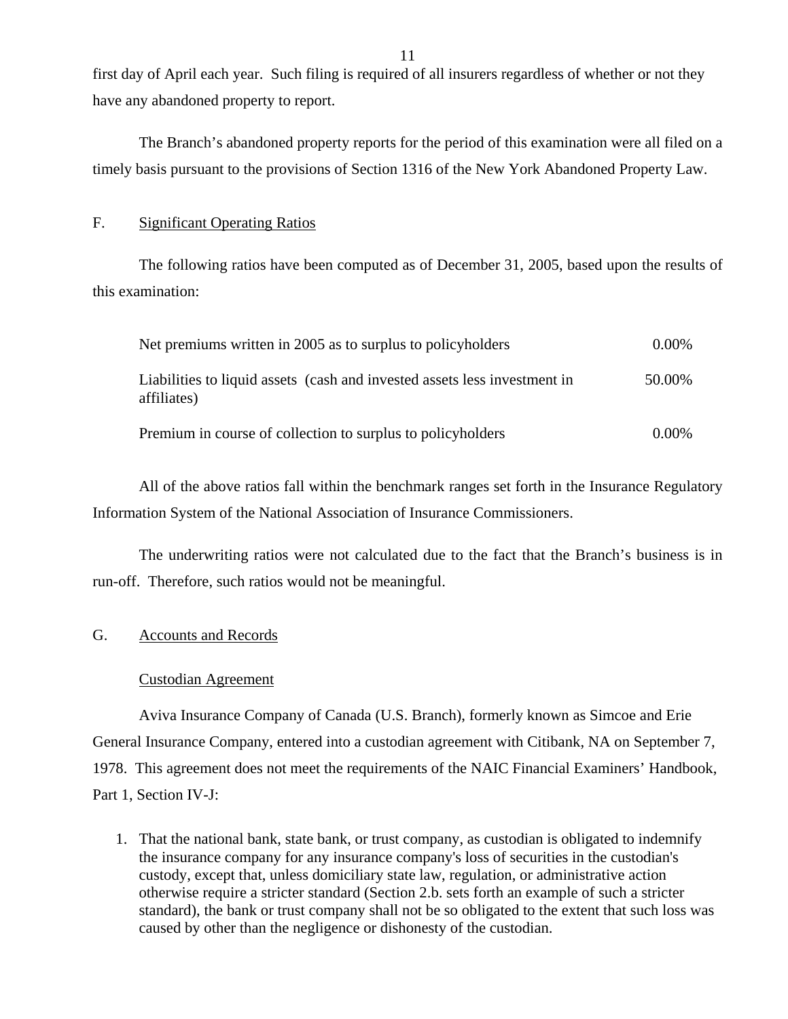first day of April each year. Such filing is required of all insurers regardless of whether or not they have any abandoned property to report.

The Branch's abandoned property reports for the period of this examination were all filed on a timely basis pursuant to the provisions of Section 1316 of the New York Abandoned Property Law.

#### F. Significant Operating Ratios

The following ratios have been computed as of December 31, 2005, based upon the results of this examination:

| Net premiums written in 2005 as to surplus to policyholders                              | $0.00\%$ |
|------------------------------------------------------------------------------------------|----------|
| Liabilities to liquid assets (cash and invested assets less investment in<br>affiliates) | 50.00%   |
| Premium in course of collection to surplus to policyholders                              | $0.00\%$ |

All of the above ratios fall within the benchmark ranges set forth in the Insurance Regulatory Information System of the National Association of Insurance Commissioners.

The underwriting ratios were not calculated due to the fact that the Branch's business is in run-off. Therefore, such ratios would not be meaningful.

### G. Accounts and Records

#### Custodian Agreement

Aviva Insurance Company of Canada (U.S. Branch), formerly known as Simcoe and Erie General Insurance Company, entered into a custodian agreement with Citibank, NA on September 7, 1978. This agreement does not meet the requirements of the NAIC Financial Examiners' Handbook, Part 1, Section IV-J:

1. That the national bank, state bank, or trust company, as custodian is obligated to indemnify the insurance company for any insurance company's loss of securities in the custodian's custody, except that, unless domiciliary state law, regulation, or administrative action otherwise require a stricter standard (Section 2.b. sets forth an example of such a stricter standard), the bank or trust company shall not be so obligated to the extent that such loss was caused by other than the negligence or dishonesty of the custodian.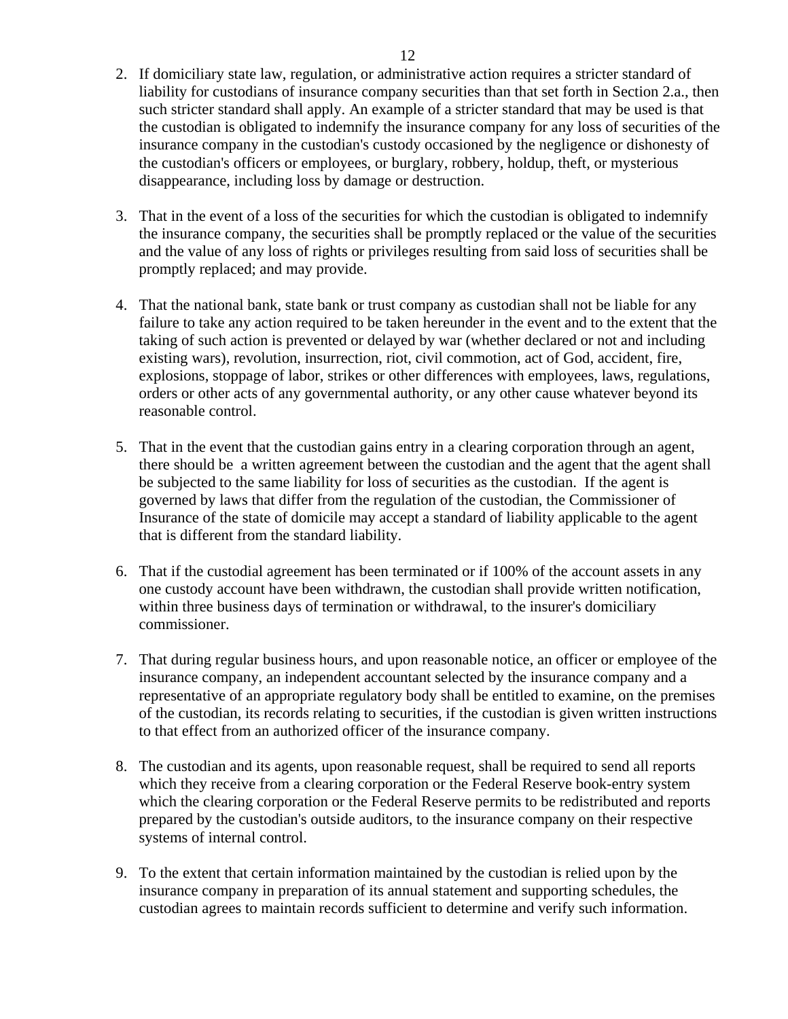- 2. If domiciliary state law, regulation, or administrative action requires a stricter standard of liability for custodians of insurance company securities than that set forth in Section 2.a., then such stricter standard shall apply. An example of a stricter standard that may be used is that the custodian is obligated to indemnify the insurance company for any loss of securities of the insurance company in the custodian's custody occasioned by the negligence or dishonesty of the custodian's officers or employees, or burglary, robbery, holdup, theft, or mysterious disappearance, including loss by damage or destruction.
- 3. That in the event of a loss of the securities for which the custodian is obligated to indemnify the insurance company, the securities shall be promptly replaced or the value of the securities and the value of any loss of rights or privileges resulting from said loss of securities shall be promptly replaced; and may provide.
- 4. That the national bank, state bank or trust company as custodian shall not be liable for any failure to take any action required to be taken hereunder in the event and to the extent that the taking of such action is prevented or delayed by war (whether declared or not and including existing wars), revolution, insurrection, riot, civil commotion, act of God, accident, fire, explosions, stoppage of labor, strikes or other differences with employees, laws, regulations, orders or other acts of any governmental authority, or any other cause whatever beyond its reasonable control.
- 5. That in the event that the custodian gains entry in a clearing corporation through an agent, there should be a written agreement between the custodian and the agent that the agent shall be subjected to the same liability for loss of securities as the custodian. If the agent is governed by laws that differ from the regulation of the custodian, the Commissioner of Insurance of the state of domicile may accept a standard of liability applicable to the agent that is different from the standard liability.
- 6. That if the custodial agreement has been terminated or if 100% of the account assets in any one custody account have been withdrawn, the custodian shall provide written notification, within three business days of termination or withdrawal, to the insurer's domiciliary commissioner.
- 7. That during regular business hours, and upon reasonable notice, an officer or employee of the insurance company, an independent accountant selected by the insurance company and a representative of an appropriate regulatory body shall be entitled to examine, on the premises of the custodian, its records relating to securities, if the custodian is given written instructions to that effect from an authorized officer of the insurance company.
- 8. The custodian and its agents, upon reasonable request, shall be required to send all reports which they receive from a clearing corporation or the Federal Reserve book-entry system which the clearing corporation or the Federal Reserve permits to be redistributed and reports prepared by the custodian's outside auditors, to the insurance company on their respective systems of internal control.
- 9. To the extent that certain information maintained by the custodian is relied upon by the insurance company in preparation of its annual statement and supporting schedules, the custodian agrees to maintain records sufficient to determine and verify such information.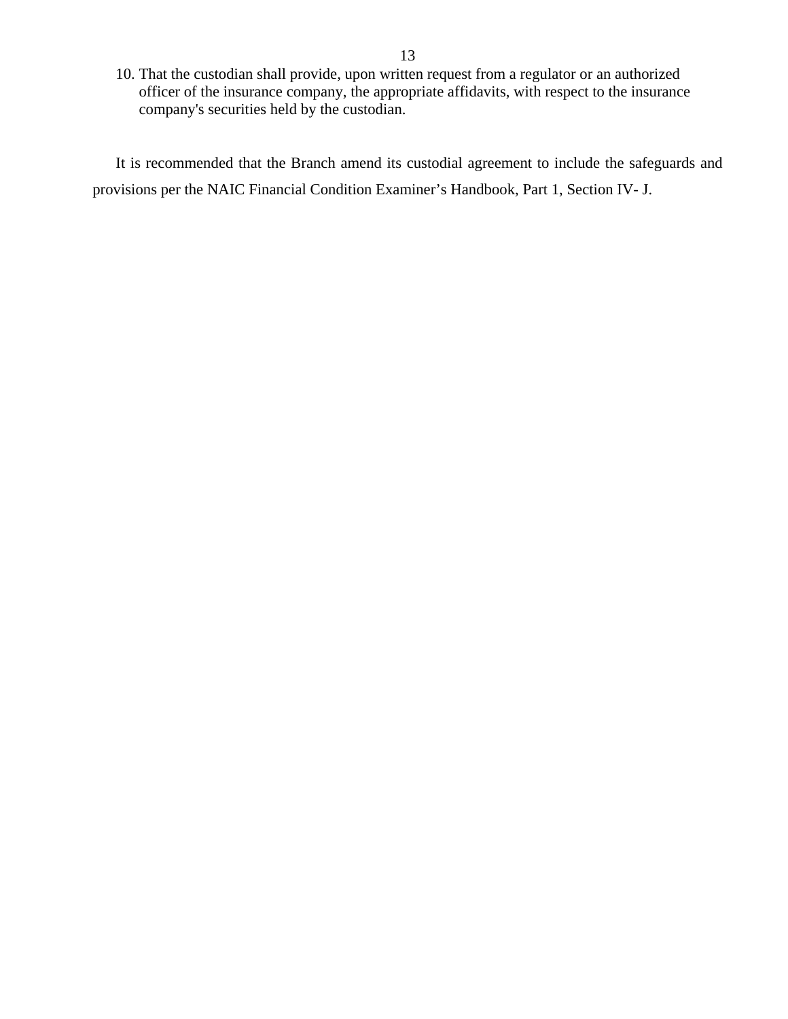10. That the custodian shall provide, upon written request from a regulator or an authorized officer of the insurance company, the appropriate affidavits, with respect to the insurance company's securities held by the custodian.

It is recommended that the Branch amend its custodial agreement to include the safeguards and provisions per the NAIC Financial Condition Examiner's Handbook, Part 1, Section IV- J.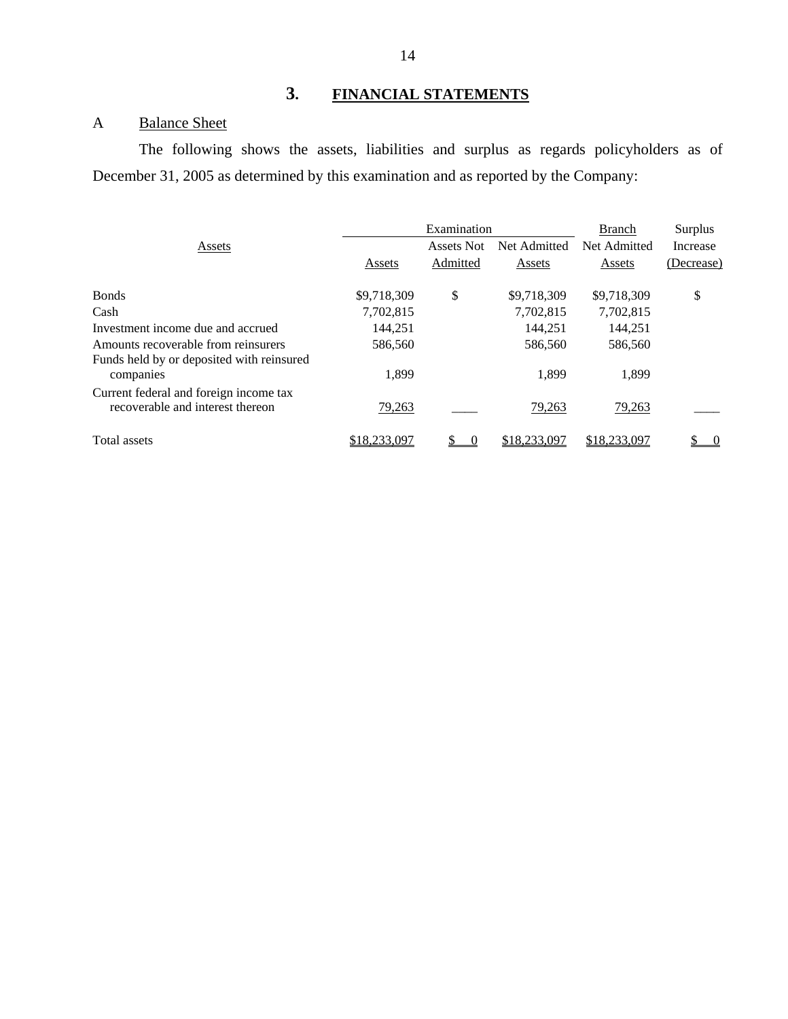# **3. FINANCIAL STATEMENTS**

# A Balance Sheet

The following shows the assets, liabilities and surplus as regards policyholders as of December 31, 2005 as determined by this examination and as reported by the Company:

|                                                                            |               | Examination |               |               | Surplus    |  |
|----------------------------------------------------------------------------|---------------|-------------|---------------|---------------|------------|--|
| Assets                                                                     |               | Assets Not  | Net Admitted  | Net Admitted  | Increase   |  |
|                                                                            | Assets        | Admitted    | Assets        | Assets        | (Decrease) |  |
| <b>Bonds</b>                                                               | \$9,718,309   | \$          | \$9,718,309   | \$9,718,309   | \$         |  |
| Cash                                                                       | 7,702,815     |             | 7,702,815     | 7,702,815     |            |  |
| Investment income due and accrued                                          | 144,251       |             | 144.251       | 144,251       |            |  |
| Amounts recoverable from reinsurers                                        | 586,560       |             | 586,560       | 586,560       |            |  |
| Funds held by or deposited with reinsured<br>companies                     | 1.899         |             | 1.899         | 1,899         |            |  |
| Current federal and foreign income tax<br>recoverable and interest thereon | <u>79,263</u> |             | <u>79,263</u> | <u>79,263</u> |            |  |
| Total assets                                                               | \$18,233,097  |             | \$18,233,097  | \$18,233,097  |            |  |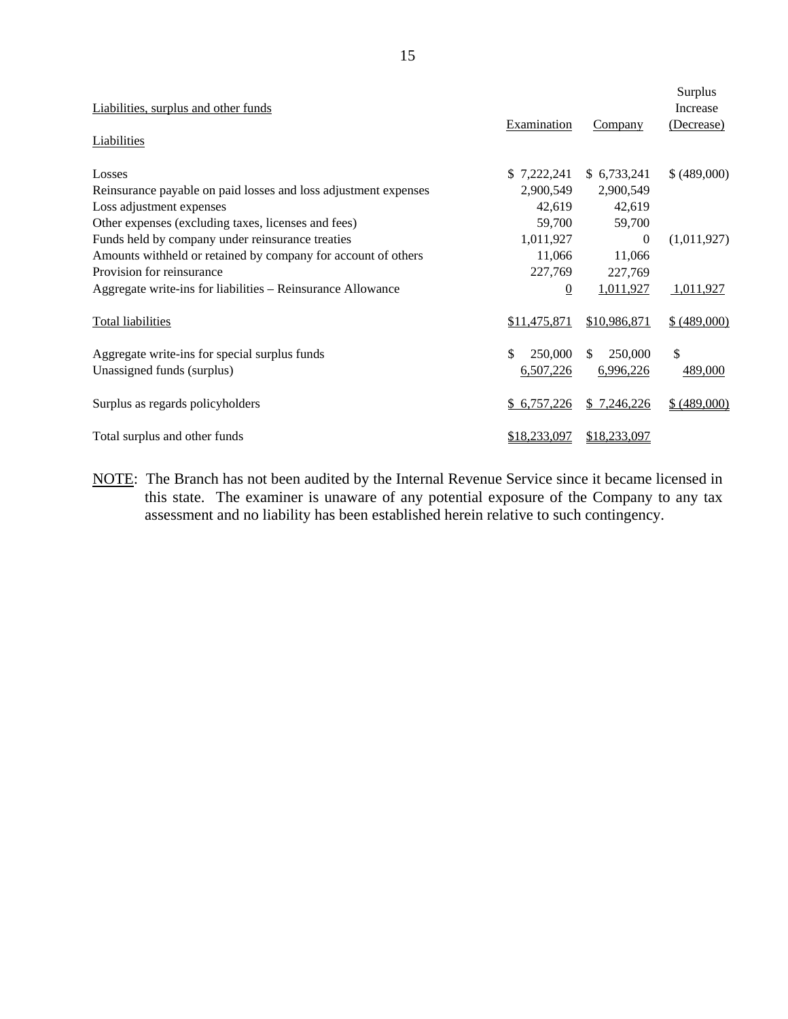| Liabilities, surplus and other funds                            | Examination      | Company       | Surplus<br>Increase<br>(Decrease) |
|-----------------------------------------------------------------|------------------|---------------|-----------------------------------|
| Liabilities                                                     |                  |               |                                   |
| Losses                                                          | \$7,222,241      | \$6,733,241   | \$(489,000)                       |
| Reinsurance payable on paid losses and loss adjustment expenses | 2,900,549        | 2,900,549     |                                   |
| Loss adjustment expenses                                        | 42,619           | 42,619        |                                   |
| Other expenses (excluding taxes, licenses and fees)             | 59,700           | 59,700        |                                   |
| Funds held by company under reinsurance treaties                | 1,011,927        | $\theta$      | (1,011,927)                       |
| Amounts withheld or retained by company for account of others   | 11,066           | 11,066        |                                   |
| Provision for reinsurance                                       | 227,769          | 227,769       |                                   |
| Aggregate write-ins for liabilities – Reinsurance Allowance     | $\boldsymbol{0}$ | 1,011,927     | 1,011,927                         |
| <b>Total liabilities</b>                                        | \$11,475,871     | \$10,986,871  | \$ (489,000)                      |
| Aggregate write-ins for special surplus funds                   | \$<br>250,000    | 250,000<br>\$ | \$                                |
| Unassigned funds (surplus)                                      | 6,507,226        | 6,996,226     | 489,000                           |
| Surplus as regards policyholders                                | \$6,757,226      | \$7,246,226   | \$ (489,000)                      |
| Total surplus and other funds                                   | \$18,233,097     | \$18,233,097  |                                   |

NOTE: The Branch has not been audited by the Internal Revenue Service since it became licensed in this state. The examiner is unaware of any potential exposure of the Company to any tax assessment and no liability has been established herein relative to such contingency.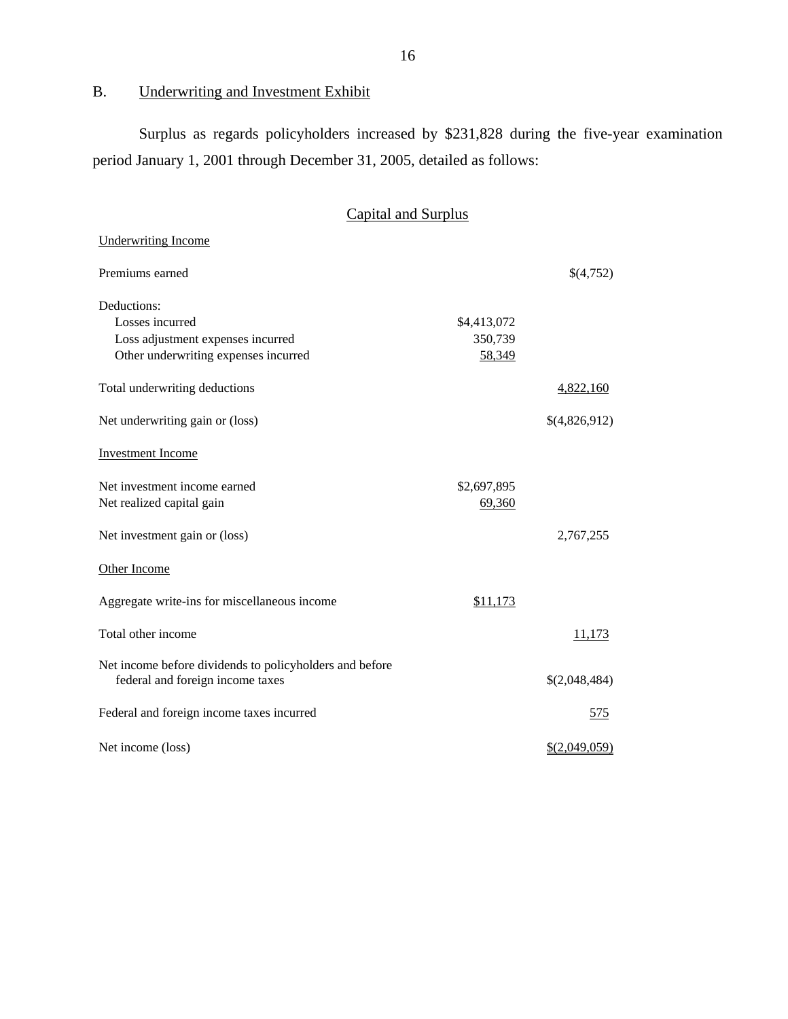B. Underwriting and Investment Exhibit

Surplus as regards policyholders increased by \$231,828 during the five-year examination period January 1, 2001 through December 31, 2005, detailed as follows:

# Capital and Surplus

| <b>Underwriting Income</b>                                                                  |             |               |
|---------------------------------------------------------------------------------------------|-------------|---------------|
| Premiums earned                                                                             |             | \$(4,752)     |
| Deductions:                                                                                 |             |               |
| Losses incurred                                                                             | \$4,413,072 |               |
| Loss adjustment expenses incurred                                                           | 350,739     |               |
| Other underwriting expenses incurred                                                        | 58,349      |               |
| Total underwriting deductions                                                               |             | 4,822,160     |
| Net underwriting gain or (loss)                                                             |             | \$(4,826,912) |
| <b>Investment Income</b>                                                                    |             |               |
| Net investment income earned                                                                | \$2,697,895 |               |
| Net realized capital gain                                                                   | 69,360      |               |
| Net investment gain or (loss)                                                               |             | 2,767,255     |
| Other Income                                                                                |             |               |
| Aggregate write-ins for miscellaneous income                                                | \$11,173    |               |
| Total other income                                                                          |             | <u>11,173</u> |
| Net income before dividends to policyholders and before<br>federal and foreign income taxes |             | \$(2,048,484) |
| Federal and foreign income taxes incurred                                                   |             | 575           |
| Net income (loss)                                                                           |             | \$(2,049,059) |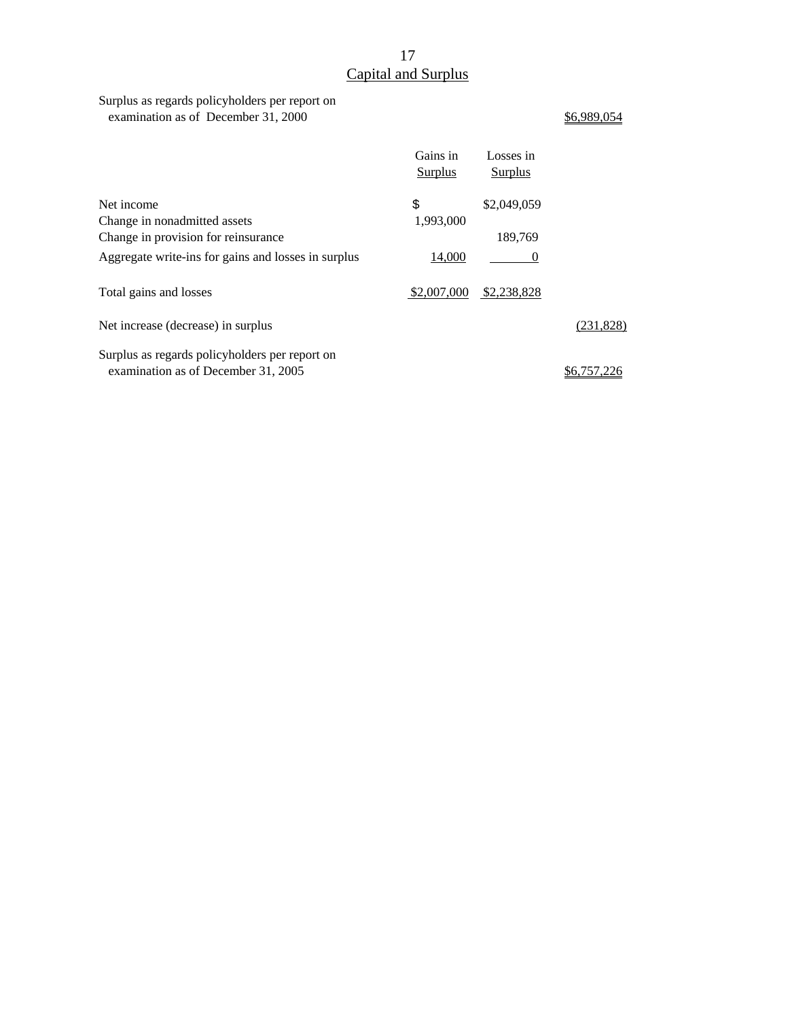# 17 Capital and Surplus

Surplus as regards policyholders per report on examination as of December 31, 2000  $\underline{$6,989,054}$ 

|                                                                                       | Gains in<br>Surplus | Losses in<br><b>Surplus</b> |           |
|---------------------------------------------------------------------------------------|---------------------|-----------------------------|-----------|
| Net income                                                                            | \$                  | \$2,049,059                 |           |
| Change in nonadmitted assets                                                          | 1,993,000           |                             |           |
| Change in provision for reinsurance                                                   |                     | 189,769                     |           |
| Aggregate write-ins for gains and losses in surplus                                   | 14,000              | $\theta$                    |           |
| Total gains and losses                                                                | \$2,007,000         | \$2,238,828                 |           |
| Net increase (decrease) in surplus                                                    |                     |                             | (231,828) |
| Surplus as regards policyholders per report on<br>examination as of December 31, 2005 |                     |                             |           |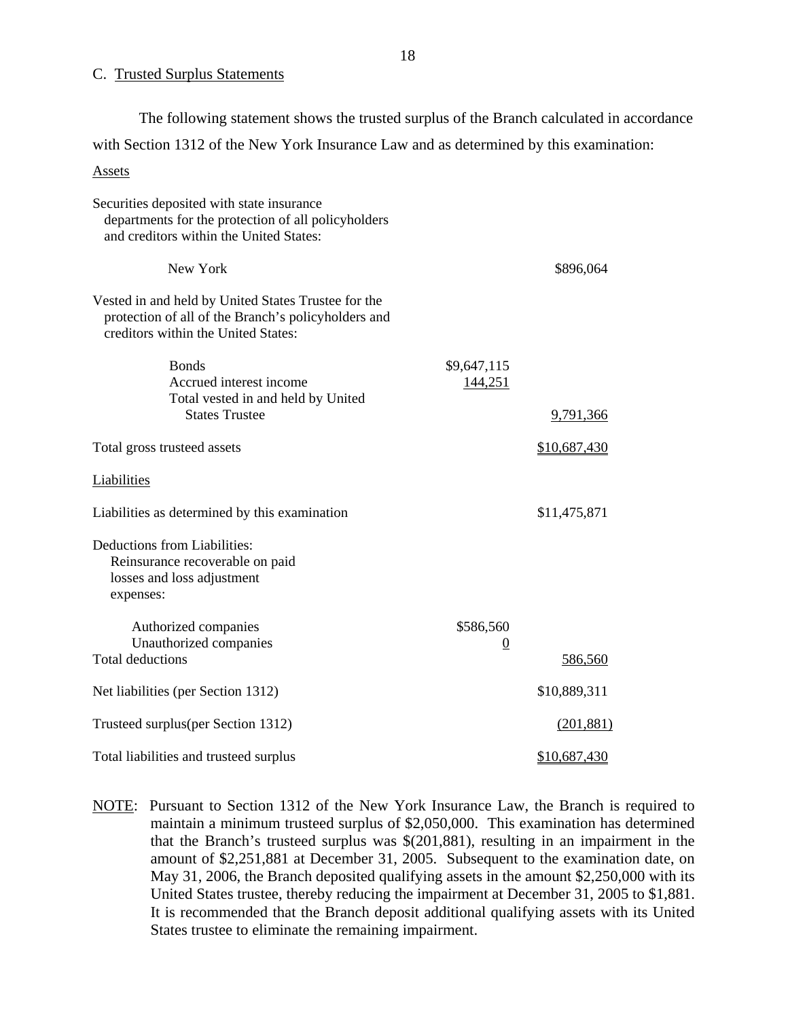#### C. Trusted Surplus Statements

Assets The following statement shows the trusted surplus of the Branch calculated in accordance with Section 1312 of the New York Insurance Law and as determined by this examination:

| Assets                                                                                                                                            |                        |              |
|---------------------------------------------------------------------------------------------------------------------------------------------------|------------------------|--------------|
| Securities deposited with state insurance<br>departments for the protection of all policyholders<br>and creditors within the United States:       |                        |              |
| New York                                                                                                                                          |                        | \$896,064    |
| Vested in and held by United States Trustee for the<br>protection of all of the Branch's policyholders and<br>creditors within the United States: |                        |              |
| <b>Bonds</b><br>Accrued interest income<br>Total vested in and held by United                                                                     | \$9,647,115<br>144,251 |              |
| <b>States Trustee</b>                                                                                                                             |                        | 9,791,366    |
| Total gross trusteed assets                                                                                                                       |                        | \$10,687,430 |
| Liabilities                                                                                                                                       |                        |              |
| Liabilities as determined by this examination                                                                                                     |                        | \$11,475,871 |
| Deductions from Liabilities:<br>Reinsurance recoverable on paid<br>losses and loss adjustment<br>expenses:                                        |                        |              |
| Authorized companies                                                                                                                              | \$586,560              |              |
| Unauthorized companies<br><b>Total deductions</b>                                                                                                 | $\overline{0}$         | 586,560      |
| Net liabilities (per Section 1312)                                                                                                                |                        | \$10,889,311 |
| Trusteed surplus (per Section 1312)                                                                                                               |                        | (201, 881)   |
| Total liabilities and trusteed surplus                                                                                                            |                        | \$10,687,430 |

NOTE: Pursuant to Section 1312 of the New York Insurance Law, the Branch is required to maintain a minimum trusteed surplus of \$2,050,000. This examination has determined that the Branch's trusteed surplus was \$(201,881), resulting in an impairment in the amount of \$2,251,881 at December 31, 2005. Subsequent to the examination date, on May 31, 2006, the Branch deposited qualifying assets in the amount \$2,250,000 with its United States trustee, thereby reducing the impairment at December 31, 2005 to \$1,881. It is recommended that the Branch deposit additional qualifying assets with its United States trustee to eliminate the remaining impairment.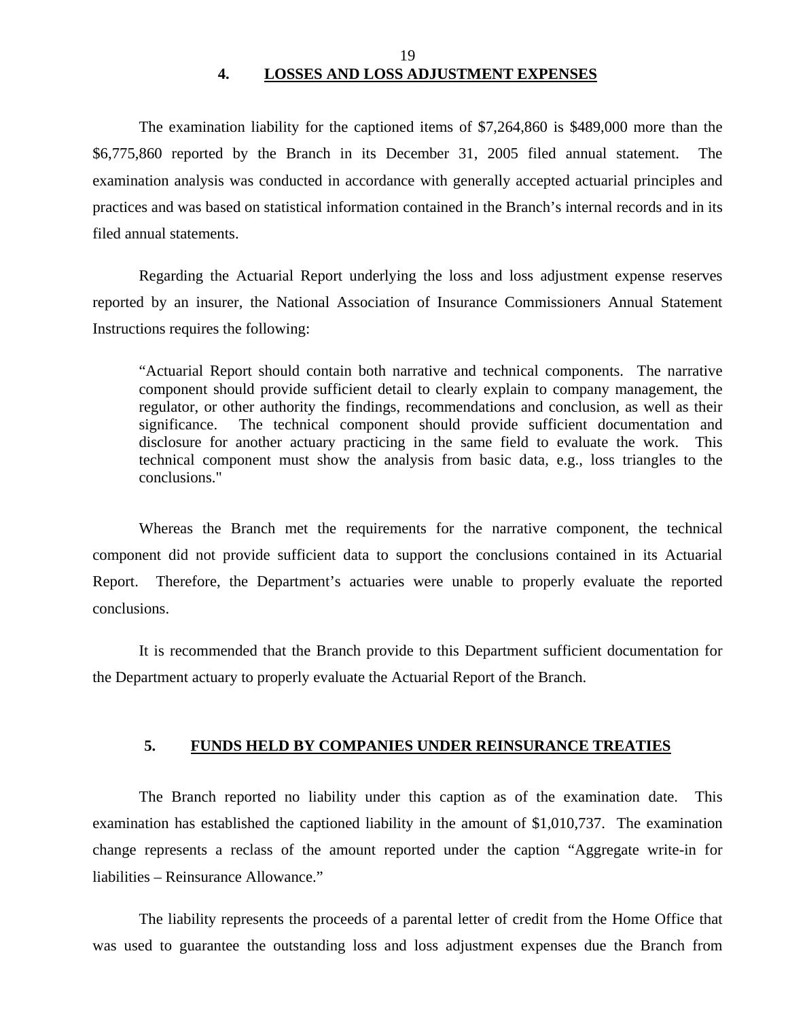## 19 **4. LOSSES AND LOSS ADJUSTMENT EXPENSES**

<span id="page-20-0"></span>The examination liability for the captioned items of \$7,264,860 is \$489,000 more than the \$6,775,860 reported by the Branch in its December 31, 2005 filed annual statement. The examination analysis was conducted in accordance with generally accepted actuarial principles and practices and was based on statistical information contained in the Branch's internal records and in its filed annual statements.

Regarding the Actuarial Report underlying the loss and loss adjustment expense reserves reported by an insurer, the National Association of Insurance Commissioners Annual Statement Instructions requires the following:

"Actuarial Report should contain both narrative and technical components. The narrative component should provide sufficient detail to clearly explain to company management, the regulator, or other authority the findings, recommendations and conclusion, as well as their significance. The technical component should provide sufficient documentation and disclosure for another actuary practicing in the same field to evaluate the work. This technical component must show the analysis from basic data, e.g., loss triangles to the conclusions."

Whereas the Branch met the requirements for the narrative component, the technical component did not provide sufficient data to support the conclusions contained in its Actuarial Report. Therefore, the Department's actuaries were unable to properly evaluate the reported conclusions.

It is recommended that the Branch provide to this Department sufficient documentation for the Department actuary to properly evaluate the Actuarial Report of the Branch.

### **5. FUNDS HELD BY COMPANIES UNDER REINSURANCE TREATIES**

The Branch reported no liability under this caption as of the examination date. This examination has established the captioned liability in the amount of \$1,010,737. The examination change represents a reclass of the amount reported under the caption "Aggregate write-in for liabilities – Reinsurance Allowance."

The liability represents the proceeds of a parental letter of credit from the Home Office that was used to guarantee the outstanding loss and loss adjustment expenses due the Branch from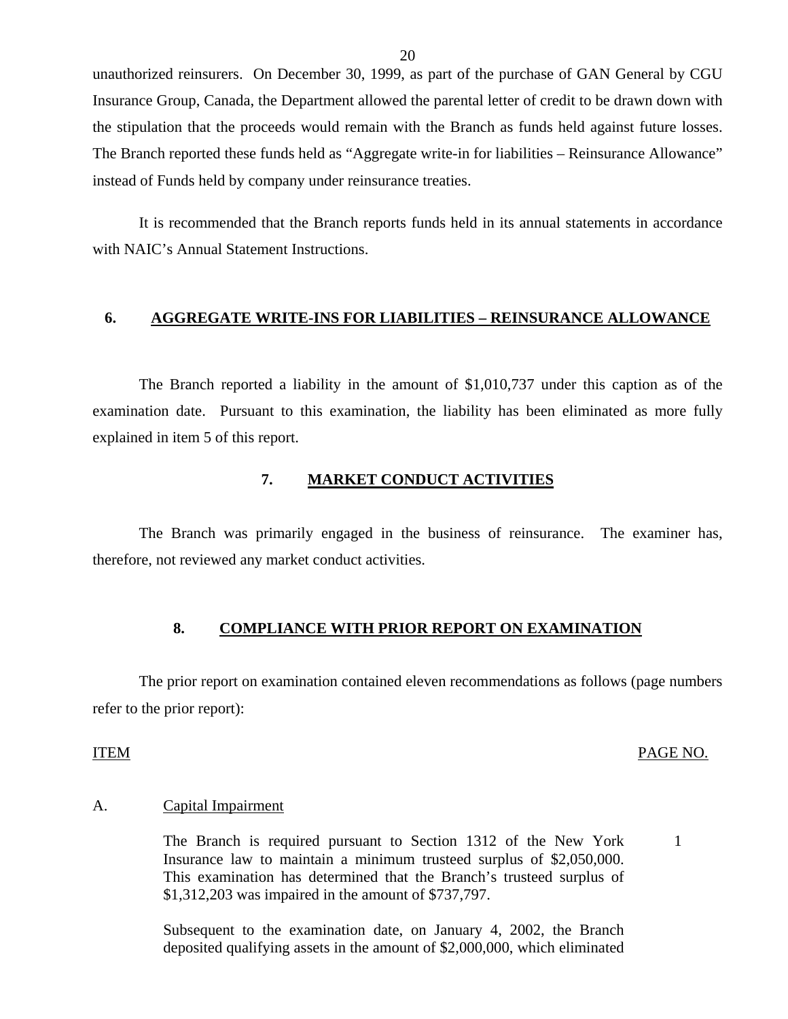unauthorized reinsurers. On December 30, 1999, as part of the purchase of GAN General by CGU Insurance Group, Canada, the Department allowed the parental letter of credit to be drawn down with the stipulation that the proceeds would remain with the Branch as funds held against future losses. The Branch reported these funds held as "Aggregate write-in for liabilities – Reinsurance Allowance" instead of Funds held by company under reinsurance treaties.

It is recommended that the Branch reports funds held in its annual statements in accordance with NAIC's Annual Statement Instructions.

### **6. AGGREGATE WRITE-INS FOR LIABILITIES – REINSURANCE ALLOWANCE**

The Branch reported a liability in the amount of \$1,010,737 under this caption as of the examination date. Pursuant to this examination, the liability has been eliminated as more fully explained in item 5 of this report.

#### **7. MARKET CONDUCT ACTIVITIES**

The Branch was primarily engaged in the business of reinsurance. The examiner has, therefore, not reviewed any market conduct activities.

#### 8. COMPLIANCE WITH PRIOR REPORT ON EXAMINATION

The prior report on examination contained eleven recommendations as follows (page numbers refer to the prior report):

#### ITEM PAGE NO.

1

#### Capital Impairment

A. Capital Impairment<br>The Branch is required pursuant to Section 1312 of the New York Insurance law to maintain a minimum trusteed surplus of \$2,050,000. This examination has determined that the Branch's trusteed surplus of \$1,312,203 was impaired in the amount of \$737,797.

> Subsequent to the examination date, on January 4, 2002, the Branch deposited qualifying assets in the amount of \$2,000,000, which eliminated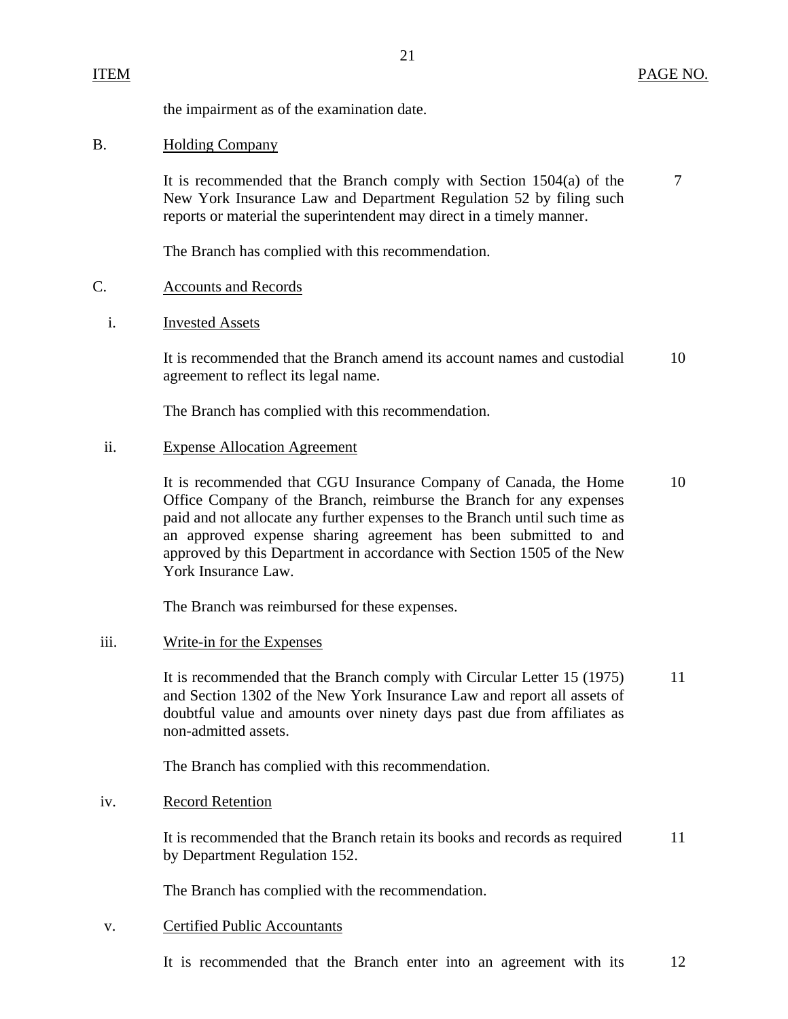the impairment as of the examination date.

### **Holding Company**

B. Holding Company<br>It is recommended that the Branch comply with Section 1504(a) of the 7 New York Insurance Law and Department Regulation 52 by filing such reports or material the superintendent may direct in a timely manner.

21

The Branch has complied with this recommendation.

#### C. Accounts and Records

**Invested Assets** 

i. Invested Assets<br>It is recommended that the Branch amend its account names and custodial 10 agreement to reflect its legal name.

The Branch has complied with this recommendation.

#### ii. Expense Allocation Agreement

It is recommended that CGU Insurance Company of Canada, the Home 10 Office Company of the Branch, reimburse the Branch for any expenses paid and not allocate any further expenses to the Branch until such time as an approved expense sharing agreement has been submitted to and approved by this Department in accordance with Section 1505 of the New York Insurance Law.

The Branch was reimbursed for these expenses.

#### Write-in for the Expenses

iii. Write-in for the Expenses<br>It is recommended that the Branch comply with Circular Letter 15 (1975) 11 and Section 1302 of the New York Insurance Law and report all assets of doubtful value and amounts over ninety days past due from affiliates as non-admitted assets.

The Branch has complied with this recommendation.

#### **Record Retention**

iv. Record Retention<br>It is recommended that the Branch retain its books and records as required 11 by Department Regulation 152.

The Branch has complied with the recommendation.

### **Certified Public Accountants**

v. Certified Public Accountants<br>It is recommended that the Branch enter into an agreement with its 12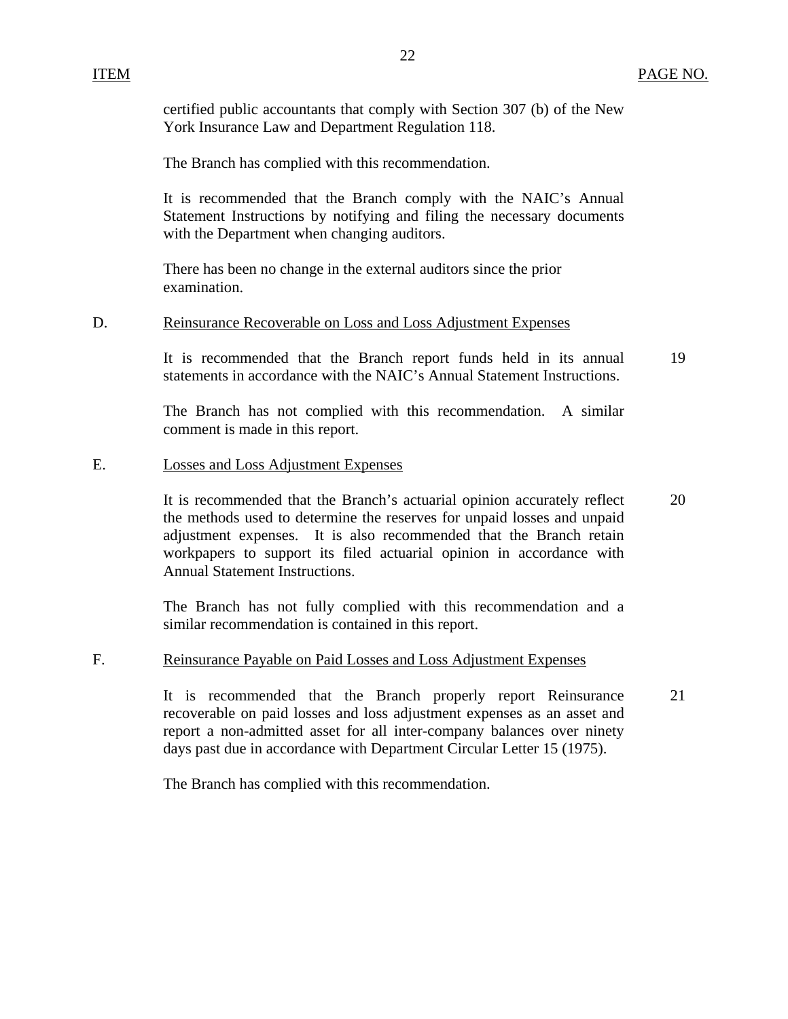certified public accountants that comply with Section 307 (b) of the New York Insurance Law and Department Regulation 118.

The Branch has complied with this recommendation.

It is recommended that the Branch comply with the NAIC's Annual Statement Instructions by notifying and filing the necessary documents with the Department when changing auditors.

There has been no change in the external auditors since the prior examination.

#### **Reinsurance Recoverable on Loss and Loss Adjustment Expenses**

D. Reinsurance Recoverable on Loss and Loss Adjustment Expenses<br>It is recommended that the Branch report funds held in its annual statements in accordance with the NAIC's Annual Statement Instructions. 19

> The Branch has not complied with this recommendation. A similar comment is made in this report.

**Losses and Loss Adjustment Expenses** 

E. Losses and Loss Adjustment Expenses<br>It is recommended that the Branch's actuarial opinion accurately reflect the methods used to determine the reserves for unpaid losses and unpaid adjustment expenses. It is also recommended that the Branch retain workpapers to support its filed actuarial opinion in accordance with Annual Statement Instructions. 20

> The Branch has not fully complied with this recommendation and a similar recommendation is contained in this report.

F. Reinsurance Payable on Paid Losses and Loss Adjustment Expenses<br>It is recommended that the Branch properly report Reinsurance recoverable on paid losses and loss adjustment expenses as an asset and report a non-admitted asset for all inter-company balances over ninety days past due in accordance with Department Circular Letter 15 (1975). 21

The Branch has complied with this recommendation.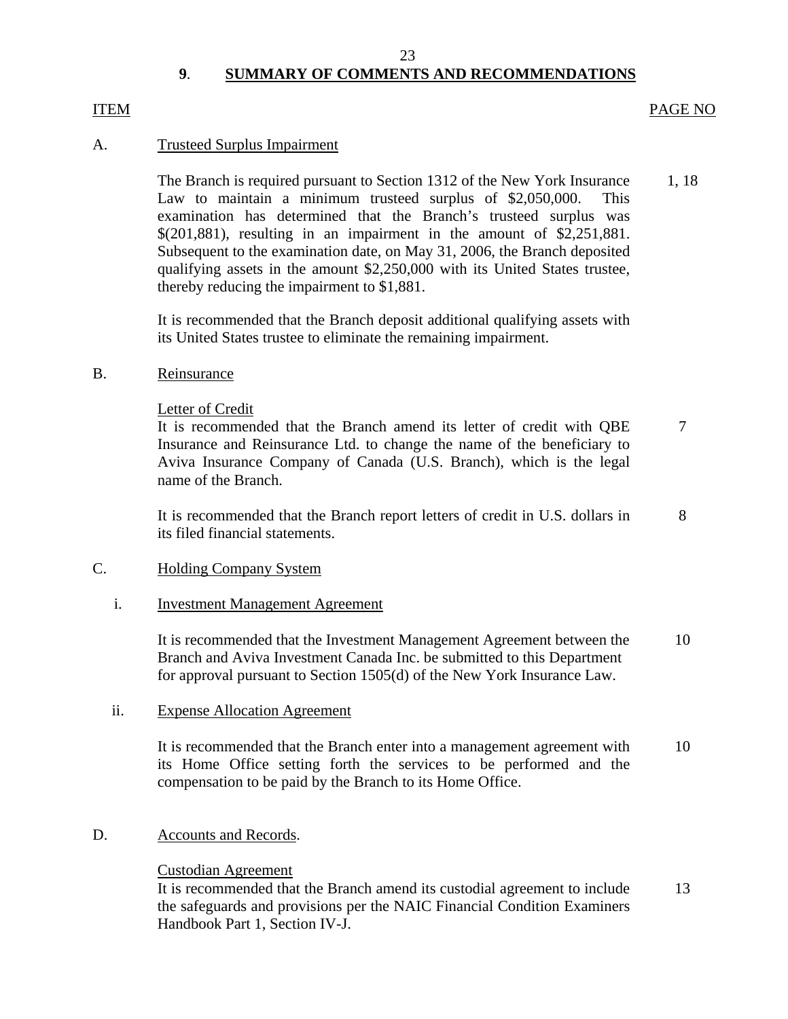#### 23

# **9**. **SUMMARY OF COMMENTS AND RECOMMENDATIONS**

#### <span id="page-24-0"></span>**ITEM**

#### ITEM PAGE NO

### A. Trusteed Surplus Impairment

The Branch is required pursuant to Section 1312 of the New York Insurance 1, 18 Law to maintain a minimum trusteed surplus of \$2,050,000. This examination has determined that the Branch's trusteed surplus was \$(201,881), resulting in an impairment in the amount of \$2,251,881. Subsequent to the examination date, on May 31, 2006, the Branch deposited qualifying assets in the amount \$2,250,000 with its United States trustee, thereby reducing the impairment to \$1,881.

It is recommended that the Branch deposit additional qualifying assets with its United States trustee to eliminate the remaining impairment.

#### B. Reinsurance

Letter of Credit

It is recommended that the Branch amend its letter of credit with QBE 7 Insurance and Reinsurance Ltd. to change the name of the beneficiary to Aviva Insurance Company of Canada (U.S. Branch), which is the legal name of the Branch.

It is recommended that the Branch report letters of credit in U.S. dollars in 8 its filed financial statements.

### C. Holding Company System

#### i. Investment Management Agreement

It is recommended that the Investment Management Agreement between the 10 Branch and Aviva Investment Canada Inc. be submitted to this Department for approval pursuant to Section 1505(d) of the New York Insurance Law.

### ii. Expense Allocation Agreement

It is recommended that the Branch enter into a management agreement with 10 its Home Office setting forth the services to be performed and the compensation to be paid by the Branch to its Home Office.

### D. Accounts and Records.

### Custodian Agreement

It is recommended that the Branch amend its custodial agreement to include 13 the safeguards and provisions per the NAIC Financial Condition Examiners Handbook Part 1, Section IV-J.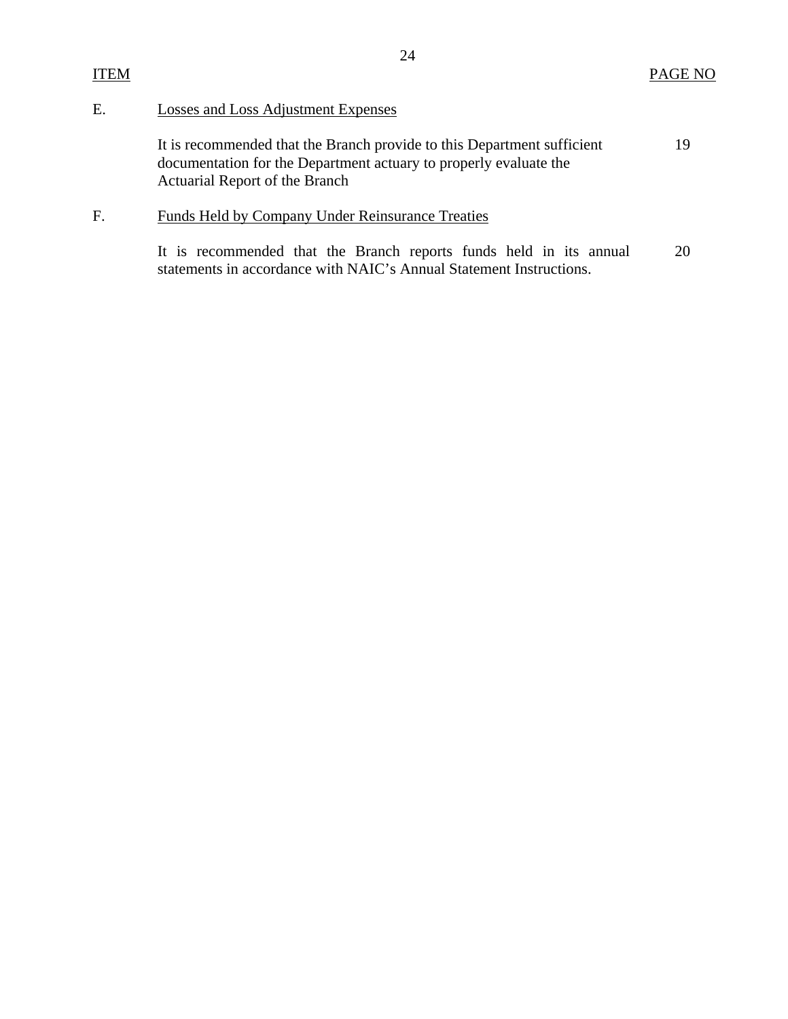# E. Losses and Loss Adjustment Expenses

**ITEM** 

| It is recommended that the Branch provide to this Department sufficient | 19. |
|-------------------------------------------------------------------------|-----|
| documentation for the Department actuary to properly evaluate the       |     |
| Actuarial Report of the Branch                                          |     |

# F. Funds Held by Company Under Reinsurance Treaties

It is recommended that the Branch reports funds held in its annual statements in accordance with NAIC's Annual Statement Instructions. 20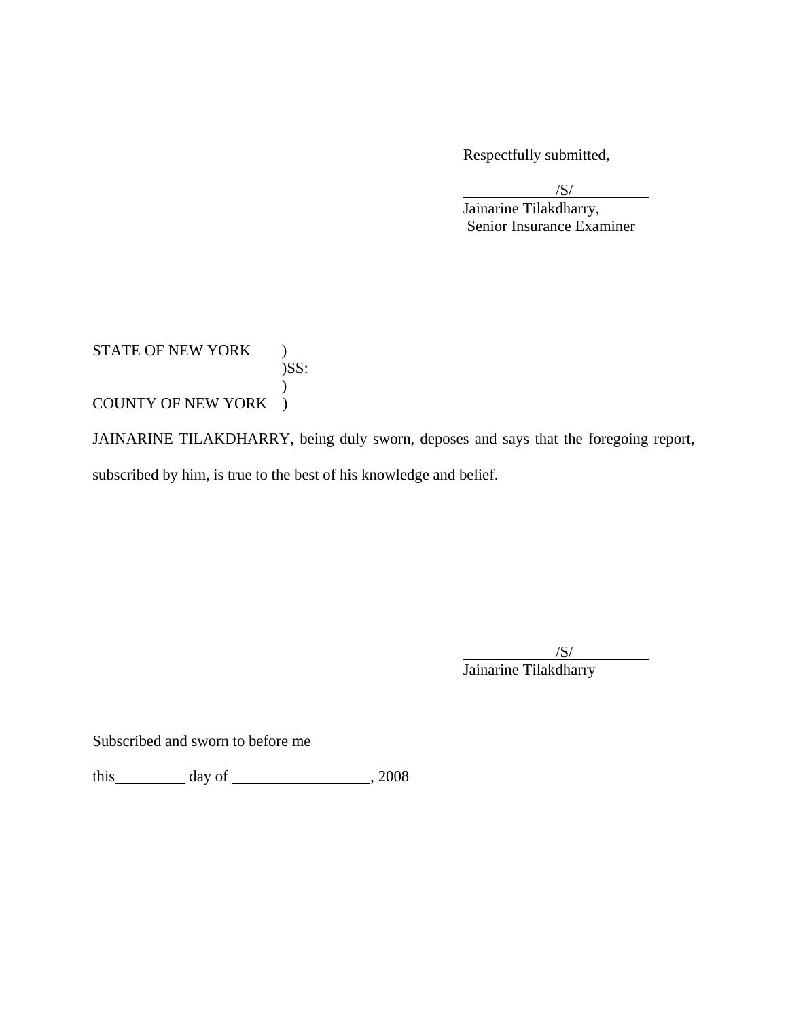Respectfully submitted,

 $/S/$ 

 $\sqrt{S}$ / Jainarine Tilakdharry, Senior Insurance Examiner

STATE OF NEW YORK ) )SS:  $\mathcal{L}$ COUNTY OF NEW YORK )

JAINARINE TILAKDHARRY, being duly sworn, deposes and says that the foregoing report,

subscribed by him, is true to the best of his knowledge and belief.

 $/S/$  $\overline{\phantom{a}}$ /S/ Jainarine Tilakdharry

Subscribed and sworn to before me

 $\frac{1}{\text{this}}$  day of  $\frac{1}{\text{this}}$ , 2008